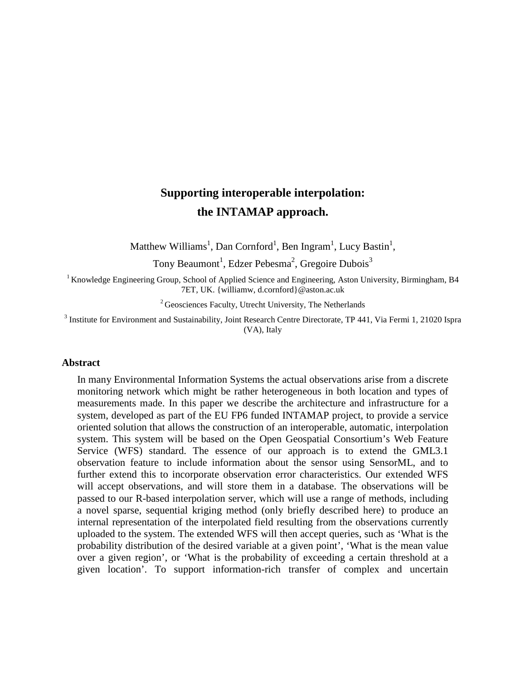# **Supporting interoperable interpolation: the INTAMAP approach.**

Matthew Williams<sup>1</sup>, Dan Cornford<sup>1</sup>, Ben Ingram<sup>1</sup>, Lucy Bastin<sup>1</sup>,

Tony Beaumont<sup>1</sup>, Edzer Pebesma<sup>2</sup>, Gregoire Dubois<sup>3</sup>

<sup>1</sup> Knowledge Engineering Group, School of Applied Science and Engineering, Aston University, Birmingham, B4 7ET, UK. {williamw, d.cornford}@aston.ac.uk

 $2<sup>2</sup>$  Geosciences Faculty, Utrecht University, The Netherlands

<sup>3</sup> Institute for Environment and Sustainability, Joint Research Centre Directorate, TP 441, Via Fermi 1, 21020 Ispra (VA), Italy

#### **Abstract**

In many Environmental Information Systems the actual observations arise from a discrete monitoring network which might be rather heterogeneous in both location and types of measurements made. In this paper we describe the architecture and infrastructure for a system, developed as part of the EU FP6 funded INTAMAP project, to provide a service oriented solution that allows the construction of an interoperable, automatic, interpolation system. This system will be based on the Open Geospatial Consortium's Web Feature Service (WFS) standard. The essence of our approach is to extend the GML3.1 observation feature to include information about the sensor using SensorML, and to further extend this to incorporate observation error characteristics. Our extended WFS will accept observations, and will store them in a database. The observations will be passed to our R-based interpolation server, which will use a range of methods, including a novel sparse, sequential kriging method (only briefly described here) to produce an internal representation of the interpolated field resulting from the observations currently uploaded to the system. The extended WFS will then accept queries, such as 'What is the probability distribution of the desired variable at a given point', 'What is the mean value over a given region', or 'What is the probability of exceeding a certain threshold at a given location'. To support information-rich transfer of complex and uncertain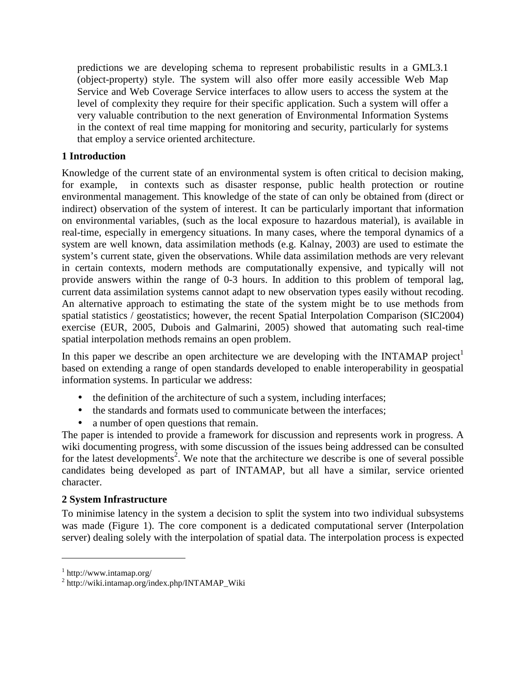predictions we are developing schema to represent probabilistic results in a GML3.1 (object-property) style. The system will also offer more easily accessible Web Map Service and Web Coverage Service interfaces to allow users to access the system at the level of complexity they require for their specific application. Such a system will offer a very valuable contribution to the next generation of Environmental Information Systems in the context of real time mapping for monitoring and security, particularly for systems that employ a service oriented architecture.

# **1 Introduction**

Knowledge of the current state of an environmental system is often critical to decision making, for example, in contexts such as disaster response, public health protection or routine environmental management. This knowledge of the state of can only be obtained from (direct or indirect) observation of the system of interest. It can be particularly important that information on environmental variables, (such as the local exposure to hazardous material), is available in real-time, especially in emergency situations. In many cases, where the temporal dynamics of a system are well known, data assimilation methods (e.g. Kalnay, 2003) are used to estimate the system's current state, given the observations. While data assimilation methods are very relevant in certain contexts, modern methods are computationally expensive, and typically will not provide answers within the range of 0-3 hours. In addition to this problem of temporal lag, current data assimilation systems cannot adapt to new observation types easily without recoding. An alternative approach to estimating the state of the system might be to use methods from spatial statistics / geostatistics; however, the recent Spatial Interpolation Comparison (SIC2004) exercise (EUR, 2005, Dubois and Galmarini, 2005) showed that automating such real-time spatial interpolation methods remains an open problem.

In this paper we describe an open architecture we are developing with the INTAMAP project based on extending a range of open standards developed to enable interoperability in geospatial information systems. In particular we address:

- the definition of the architecture of such a system, including interfaces;
- the standards and formats used to communicate between the interfaces;
- a number of open questions that remain.

The paper is intended to provide a framework for discussion and represents work in progress. A wiki documenting progress, with some discussion of the issues being addressed can be consulted for the latest developments<sup>2</sup>. We note that the architecture we describe is one of several possible candidates being developed as part of INTAMAP, but all have a similar, service oriented character.

## **2 System Infrastructure**

To minimise latency in the system a decision to split the system into two individual subsystems was made (Figure 1). The core component is a dedicated computational server (Interpolation server) dealing solely with the interpolation of spatial data. The interpolation process is expected

 $\overline{a}$ 

<sup>1</sup> http://www.intamap.org/

<sup>2</sup> http://wiki.intamap.org/index.php/INTAMAP\_Wiki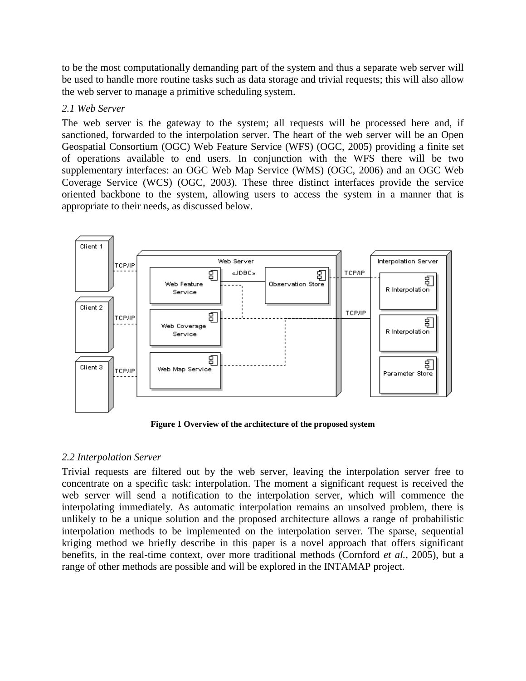to be the most computationally demanding part of the system and thus a separate web server will be used to handle more routine tasks such as data storage and trivial requests; this will also allow the web server to manage a primitive scheduling system.

## *2.1 Web Server*

The web server is the gateway to the system; all requests will be processed here and, if sanctioned, forwarded to the interpolation server. The heart of the web server will be an Open Geospatial Consortium (OGC) Web Feature Service (WFS) (OGC, 2005) providing a finite set of operations available to end users. In conjunction with the WFS there will be two supplementary interfaces: an OGC Web Map Service (WMS) (OGC, 2006) and an OGC Web Coverage Service (WCS) (OGC, 2003). These three distinct interfaces provide the service oriented backbone to the system, allowing users to access the system in a manner that is appropriate to their needs, as discussed below.



**Figure 1 Overview of the architecture of the proposed system** 

## *2.2 Interpolation Server*

Trivial requests are filtered out by the web server, leaving the interpolation server free to concentrate on a specific task: interpolation. The moment a significant request is received the web server will send a notification to the interpolation server, which will commence the interpolating immediately. As automatic interpolation remains an unsolved problem, there is unlikely to be a unique solution and the proposed architecture allows a range of probabilistic interpolation methods to be implemented on the interpolation server. The sparse, sequential kriging method we briefly describe in this paper is a novel approach that offers significant benefits, in the real-time context, over more traditional methods (Cornford *et al.*, 2005), but a range of other methods are possible and will be explored in the INTAMAP project.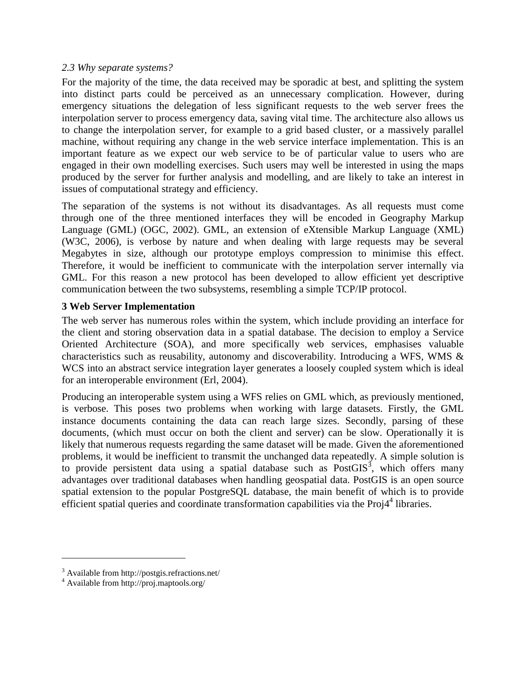#### *2.3 Why separate systems?*

For the majority of the time, the data received may be sporadic at best, and splitting the system into distinct parts could be perceived as an unnecessary complication. However, during emergency situations the delegation of less significant requests to the web server frees the interpolation server to process emergency data, saving vital time. The architecture also allows us to change the interpolation server, for example to a grid based cluster, or a massively parallel machine, without requiring any change in the web service interface implementation. This is an important feature as we expect our web service to be of particular value to users who are engaged in their own modelling exercises. Such users may well be interested in using the maps produced by the server for further analysis and modelling, and are likely to take an interest in issues of computational strategy and efficiency.

The separation of the systems is not without its disadvantages. As all requests must come through one of the three mentioned interfaces they will be encoded in Geography Markup Language (GML) (OGC, 2002). GML, an extension of eXtensible Markup Language (XML) (W3C, 2006), is verbose by nature and when dealing with large requests may be several Megabytes in size, although our prototype employs compression to minimise this effect. Therefore, it would be inefficient to communicate with the interpolation server internally via GML. For this reason a new protocol has been developed to allow efficient yet descriptive communication between the two subsystems, resembling a simple TCP/IP protocol.

## **3 Web Server Implementation**

The web server has numerous roles within the system, which include providing an interface for the client and storing observation data in a spatial database. The decision to employ a Service Oriented Architecture (SOA), and more specifically web services, emphasises valuable characteristics such as reusability, autonomy and discoverability. Introducing a WFS, WMS & WCS into an abstract service integration layer generates a loosely coupled system which is ideal for an interoperable environment (Erl, 2004).

Producing an interoperable system using a WFS relies on GML which, as previously mentioned, is verbose. This poses two problems when working with large datasets. Firstly, the GML instance documents containing the data can reach large sizes. Secondly, parsing of these documents, (which must occur on both the client and server) can be slow. Operationally it is likely that numerous requests regarding the same dataset will be made. Given the aforementioned problems, it would be inefficient to transmit the unchanged data repeatedly. A simple solution is to provide persistent data using a spatial database such as  $PostGIS<sup>3</sup>$ , which offers many advantages over traditional databases when handling geospatial data. PostGIS is an open source spatial extension to the popular PostgreSQL database, the main benefit of which is to provide efficient spatial queries and coordinate transformation capabilities via the Proj4<sup>4</sup> libraries.

<u>.</u>

<sup>&</sup>lt;sup>3</sup> Available from http://postgis.refractions.net/

<sup>4</sup> Available from http://proj.maptools.org/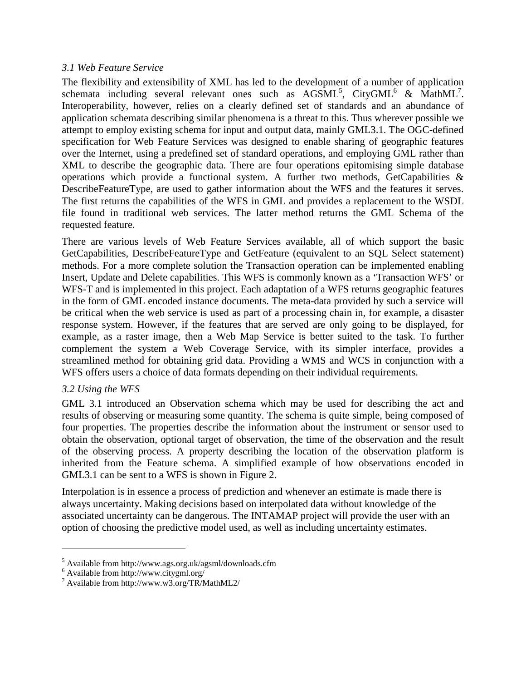## *3.1 Web Feature Service*

The flexibility and extensibility of XML has led to the development of a number of application schemata including several relevant ones such as  $\text{AGSML}^5$ , CityGML<sup>6</sup> & MathML<sup>7</sup>. Interoperability, however, relies on a clearly defined set of standards and an abundance of application schemata describing similar phenomena is a threat to this. Thus wherever possible we attempt to employ existing schema for input and output data, mainly GML3.1. The OGC-defined specification for Web Feature Services was designed to enable sharing of geographic features over the Internet, using a predefined set of standard operations, and employing GML rather than XML to describe the geographic data. There are four operations epitomising simple database operations which provide a functional system. A further two methods, GetCapabilities  $\&$ DescribeFeatureType, are used to gather information about the WFS and the features it serves. The first returns the capabilities of the WFS in GML and provides a replacement to the WSDL file found in traditional web services. The latter method returns the GML Schema of the requested feature.

There are various levels of Web Feature Services available, all of which support the basic GetCapabilities, DescribeFeatureType and GetFeature (equivalent to an SQL Select statement) methods. For a more complete solution the Transaction operation can be implemented enabling Insert, Update and Delete capabilities. This WFS is commonly known as a 'Transaction WFS' or WFS-T and is implemented in this project. Each adaptation of a WFS returns geographic features in the form of GML encoded instance documents. The meta-data provided by such a service will be critical when the web service is used as part of a processing chain in, for example, a disaster response system. However, if the features that are served are only going to be displayed, for example, as a raster image, then a Web Map Service is better suited to the task. To further complement the system a Web Coverage Service, with its simpler interface, provides a streamlined method for obtaining grid data. Providing a WMS and WCS in conjunction with a WFS offers users a choice of data formats depending on their individual requirements.

## *3.2 Using the WFS*

 $\overline{a}$ 

GML 3.1 introduced an Observation schema which may be used for describing the act and results of observing or measuring some quantity. The schema is quite simple, being composed of four properties. The properties describe the information about the instrument or sensor used to obtain the observation, optional target of observation, the time of the observation and the result of the observing process. A property describing the location of the observation platform is inherited from the Feature schema. A simplified example of how observations encoded in GML3.1 can be sent to a WFS is shown in Figure 2.

Interpolation is in essence a process of prediction and whenever an estimate is made there is always uncertainty. Making decisions based on interpolated data without knowledge of the associated uncertainty can be dangerous. The INTAMAP project will provide the user with an option of choosing the predictive model used, as well as including uncertainty estimates.

<sup>&</sup>lt;sup>5</sup> Available from http://www.ags.org.uk/agsml/downloads.cfm  $\frac{6}{3}$  Available from http://www.citygml.org/

<sup>7</sup> Available from http://www.w3.org/TR/MathML2/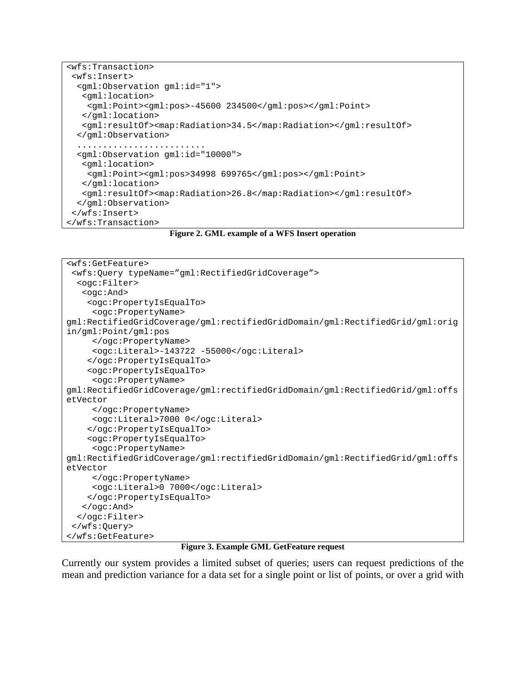```
<wfs:Transaction> 
  <wfs:Insert> 
   <gml:Observation gml:id="1"> 
    <gml:location> 
     <gml:Point><gml:pos>-45600 234500</gml:pos></gml:Point> 
    </gml:location> 
    <gml:resultOf><map:Radiation>34.5</map:Radiation></gml:resultOf> 
   </gml:Observation> 
   ......................... 
   <gml:Observation gml:id="10000"> 
    <gml:location> 
     <gml:Point><gml:pos>34998 699765</gml:pos></gml:Point> 
    </gml:location> 
    <gml:resultOf><map:Radiation>26.8</map:Radiation></gml:resultOf> 
   </gml:Observation> 
  </wfs:Insert> 
</wfs:Transaction>
```
**Figure 2. GML example of a WFS Insert operation** 

```
<wfs:GetFeature> 
 <wfs:Query typeName="gml:RectifiedGridCoverage"> 
  <ogc:Filter> 
    <ogc:And> 
     <ogc:PropertyIsEqualTo> 
      <ogc:PropertyName> 
gml:RectifiedGridCoverage/gml:rectifiedGridDomain/gml:RectifiedGrid/gml:orig
in/gml:Point/gml:pos 
      </ogc:PropertyName> 
      <ogc:Literal>-143722 -55000</ogc:Literal> 
     </ogc:PropertyIsEqualTo> 
     <ogc:PropertyIsEqualTo> 
      <ogc:PropertyName> 
gml:RectifiedGridCoverage/gml:rectifiedGridDomain/gml:RectifiedGrid/gml:offs
etVector 
      </ogc:PropertyName> 
      <ogc:Literal>7000 0</ogc:Literal> 
     </ogc:PropertyIsEqualTo> 
     <ogc:PropertyIsEqualTo> 
      <ogc:PropertyName> 
gml:RectifiedGridCoverage/gml:rectifiedGridDomain/gml:RectifiedGrid/gml:offs
etVector 
      </ogc:PropertyName> 
      <ogc:Literal>0 7000</ogc:Literal> 
     </ogc:PropertyIsEqualTo> 
    </ogc:And> 
   </ogc:Filter> 
  </wfs:Query>
</wfs:GetFeature>
```
#### **Figure 3. Example GML GetFeature request**

Currently our system provides a limited subset of queries; users can request predictions of the mean and prediction variance for a data set for a single point or list of points, or over a grid with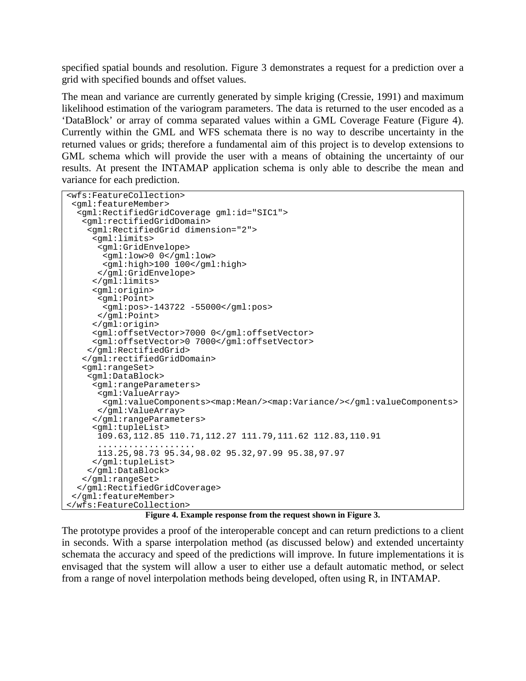specified spatial bounds and resolution. Figure 3 demonstrates a request for a prediction over a grid with specified bounds and offset values.

The mean and variance are currently generated by simple kriging (Cressie, 1991) and maximum likelihood estimation of the variogram parameters. The data is returned to the user encoded as a 'DataBlock' or array of comma separated values within a GML Coverage Feature (Figure 4). Currently within the GML and WFS schemata there is no way to describe uncertainty in the returned values or grids; therefore a fundamental aim of this project is to develop extensions to GML schema which will provide the user with a means of obtaining the uncertainty of our results. At present the INTAMAP application schema is only able to describe the mean and variance for each prediction.

```
<wfs:FeatureCollection> 
  <gml:featureMember> 
   <gml:RectifiedGridCoverage gml:id="SIC1"> 
    <gml:rectifiedGridDomain> 
     <gml:RectifiedGrid dimension="2"> 
      <gml:limits> 
       <gml:GridEnvelope> 
        <gml:low>0 0</gml:low> 
        <gml:high>100 100</gml:high> 
       </gml:GridEnvelope> 
      </gml:limits> 
      <gml:origin> 
       <gml:Point> 
        <gml:pos>-143722 -55000</gml:pos> 
       </gml:Point> 
      </gml:origin> 
      <gml:offsetVector>7000 0</gml:offsetVector> 
      <gml:offsetVector>0 7000</gml:offsetVector> 
     </gml:RectifiedGrid> 
    </gml:rectifiedGridDomain> 
    <gml:rangeSet> 
     <gml:DataBlock> 
      <gml:rangeParameters> 
       <gml:ValueArray> 
        <gml:valueComponents><map:Mean/><map:Variance/></gml:valueComponents> 
       </gml:ValueArray> 
      </gml:rangeParameters> 
      <gml:tupleList> 
       109.63,112.85 110.71,112.27 111.79,111.62 112.83,110.91 
 ................... 
 113.25,98.73 95.34,98.02 95.32,97.99 95.38,97.97 
      </gml:tupleList> 
     </gml:DataBlock> 
    </gml:rangeSet> 
   </gml:RectifiedGridCoverage> 
  </gml:featureMember> 
</wfs:FeatureCollection>
```
**Figure 4. Example response from the request shown in Figure 3.** 

The prototype provides a proof of the interoperable concept and can return predictions to a client in seconds. With a sparse interpolation method (as discussed below) and extended uncertainty schemata the accuracy and speed of the predictions will improve. In future implementations it is envisaged that the system will allow a user to either use a default automatic method, or select from a range of novel interpolation methods being developed, often using R, in INTAMAP.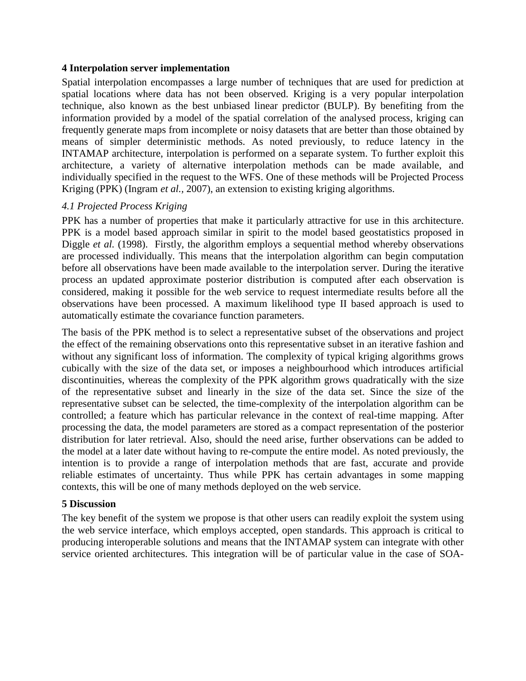#### **4 Interpolation server implementation**

Spatial interpolation encompasses a large number of techniques that are used for prediction at spatial locations where data has not been observed. Kriging is a very popular interpolation technique, also known as the best unbiased linear predictor (BULP). By benefiting from the information provided by a model of the spatial correlation of the analysed process, kriging can frequently generate maps from incomplete or noisy datasets that are better than those obtained by means of simpler deterministic methods. As noted previously, to reduce latency in the INTAMAP architecture, interpolation is performed on a separate system. To further exploit this architecture, a variety of alternative interpolation methods can be made available, and individually specified in the request to the WFS. One of these methods will be Projected Process Kriging (PPK) (Ingram *et al.,* 2007), an extension to existing kriging algorithms.

## *4.1 Projected Process Kriging*

PPK has a number of properties that make it particularly attractive for use in this architecture. PPK is a model based approach similar in spirit to the model based geostatistics proposed in Diggle *et al.* (1998). Firstly, the algorithm employs a sequential method whereby observations are processed individually. This means that the interpolation algorithm can begin computation before all observations have been made available to the interpolation server. During the iterative process an updated approximate posterior distribution is computed after each observation is considered, making it possible for the web service to request intermediate results before all the observations have been processed. A maximum likelihood type II based approach is used to automatically estimate the covariance function parameters.

The basis of the PPK method is to select a representative subset of the observations and project the effect of the remaining observations onto this representative subset in an iterative fashion and without any significant loss of information. The complexity of typical kriging algorithms grows cubically with the size of the data set, or imposes a neighbourhood which introduces artificial discontinuities, whereas the complexity of the PPK algorithm grows quadratically with the size of the representative subset and linearly in the size of the data set. Since the size of the representative subset can be selected, the time-complexity of the interpolation algorithm can be controlled; a feature which has particular relevance in the context of real-time mapping. After processing the data, the model parameters are stored as a compact representation of the posterior distribution for later retrieval. Also, should the need arise, further observations can be added to the model at a later date without having to re-compute the entire model. As noted previously, the intention is to provide a range of interpolation methods that are fast, accurate and provide reliable estimates of uncertainty. Thus while PPK has certain advantages in some mapping contexts, this will be one of many methods deployed on the web service.

## **5 Discussion**

The key benefit of the system we propose is that other users can readily exploit the system using the web service interface, which employs accepted, open standards. This approach is critical to producing interoperable solutions and means that the INTAMAP system can integrate with other service oriented architectures. This integration will be of particular value in the case of SOA-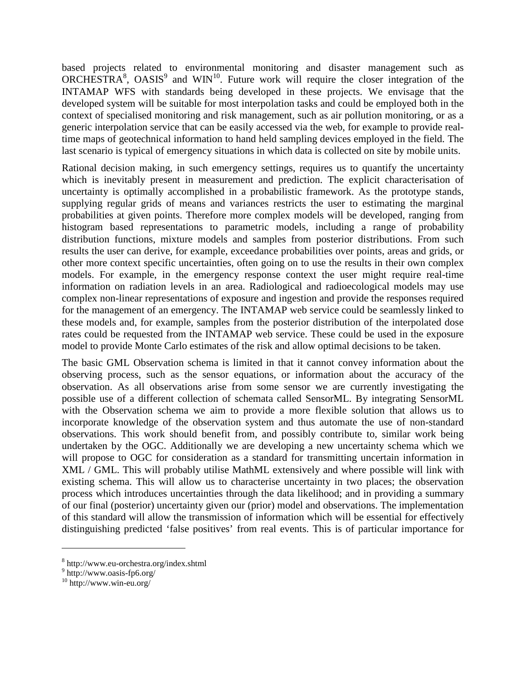based projects related to environmental monitoring and disaster management such as ORCHESTRA<sup>8</sup>, OASIS<sup>9</sup> and WIN<sup>10</sup>. Future work will require the closer integration of the INTAMAP WFS with standards being developed in these projects. We envisage that the developed system will be suitable for most interpolation tasks and could be employed both in the context of specialised monitoring and risk management, such as air pollution monitoring, or as a generic interpolation service that can be easily accessed via the web, for example to provide realtime maps of geotechnical information to hand held sampling devices employed in the field. The last scenario is typical of emergency situations in which data is collected on site by mobile units.

Rational decision making, in such emergency settings, requires us to quantify the uncertainty which is inevitably present in measurement and prediction. The explicit characterisation of uncertainty is optimally accomplished in a probabilistic framework. As the prototype stands, supplying regular grids of means and variances restricts the user to estimating the marginal probabilities at given points. Therefore more complex models will be developed, ranging from histogram based representations to parametric models, including a range of probability distribution functions, mixture models and samples from posterior distributions. From such results the user can derive, for example, exceedance probabilities over points, areas and grids, or other more context specific uncertainties, often going on to use the results in their own complex models. For example, in the emergency response context the user might require real-time information on radiation levels in an area. Radiological and radioecological models may use complex non-linear representations of exposure and ingestion and provide the responses required for the management of an emergency. The INTAMAP web service could be seamlessly linked to these models and, for example, samples from the posterior distribution of the interpolated dose rates could be requested from the INTAMAP web service. These could be used in the exposure model to provide Monte Carlo estimates of the risk and allow optimal decisions to be taken.

The basic GML Observation schema is limited in that it cannot convey information about the observing process, such as the sensor equations, or information about the accuracy of the observation. As all observations arise from some sensor we are currently investigating the possible use of a different collection of schemata called SensorML. By integrating SensorML with the Observation schema we aim to provide a more flexible solution that allows us to incorporate knowledge of the observation system and thus automate the use of non-standard observations. This work should benefit from, and possibly contribute to, similar work being undertaken by the OGC. Additionally we are developing a new uncertainty schema which we will propose to OGC for consideration as a standard for transmitting uncertain information in XML / GML. This will probably utilise MathML extensively and where possible will link with existing schema. This will allow us to characterise uncertainty in two places; the observation process which introduces uncertainties through the data likelihood; and in providing a summary of our final (posterior) uncertainty given our (prior) model and observations. The implementation of this standard will allow the transmission of information which will be essential for effectively distinguishing predicted 'false positives' from real events. This is of particular importance for

 $\overline{a}$ 

<sup>8</sup> http://www.eu-orchestra.org/index.shtml

<sup>9</sup> http://www.oasis-fp6.org/

 $10$  http://www.win-eu.org/